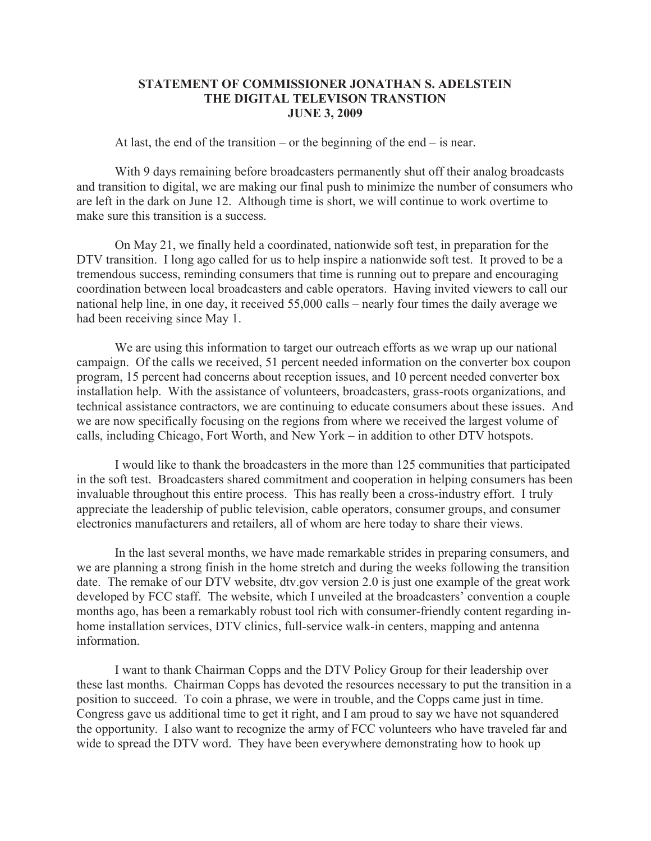## **STATEMENT OF COMMISSIONER JONATHAN S. ADELSTEIN THE DIGITAL TELEVISON TRANSTION JUNE 3, 2009**

At last, the end of the transition – or the beginning of the end – is near.

With 9 days remaining before broadcasters permanently shut off their analog broadcasts and transition to digital, we are making our final push to minimize the number of consumers who are left in the dark on June 12. Although time is short, we will continue to work overtime to make sure this transition is a success.

On May 21, we finally held a coordinated, nationwide soft test, in preparation for the DTV transition. I long ago called for us to help inspire a nationwide soft test. It proved to be a tremendous success, reminding consumers that time is running out to prepare and encouraging coordination between local broadcasters and cable operators. Having invited viewers to call our national help line, in one day, it received 55,000 calls – nearly four times the daily average we had been receiving since May 1.

We are using this information to target our outreach efforts as we wrap up our national campaign. Of the calls we received, 51 percent needed information on the converter box coupon program, 15 percent had concerns about reception issues, and 10 percent needed converter box installation help. With the assistance of volunteers, broadcasters, grass-roots organizations, and technical assistance contractors, we are continuing to educate consumers about these issues. And we are now specifically focusing on the regions from where we received the largest volume of calls, including Chicago, Fort Worth, and New York – in addition to other DTV hotspots.

I would like to thank the broadcasters in the more than 125 communities that participated in the soft test. Broadcasters shared commitment and cooperation in helping consumers has been invaluable throughout this entire process. This has really been a cross-industry effort. I truly appreciate the leadership of public television, cable operators, consumer groups, and consumer electronics manufacturers and retailers, all of whom are here today to share their views.

In the last several months, we have made remarkable strides in preparing consumers, and we are planning a strong finish in the home stretch and during the weeks following the transition date. The remake of our DTV website, dtv.gov version 2.0 is just one example of the great work developed by FCC staff. The website, which I unveiled at the broadcasters' convention a couple months ago, has been a remarkably robust tool rich with consumer-friendly content regarding inhome installation services, DTV clinics, full-service walk-in centers, mapping and antenna information.

I want to thank Chairman Copps and the DTV Policy Group for their leadership over these last months. Chairman Copps has devoted the resources necessary to put the transition in a position to succeed. To coin a phrase, we were in trouble, and the Copps came just in time. Congress gave us additional time to get it right, and I am proud to say we have not squandered the opportunity. I also want to recognize the army of FCC volunteers who have traveled far and wide to spread the DTV word. They have been everywhere demonstrating how to hook up